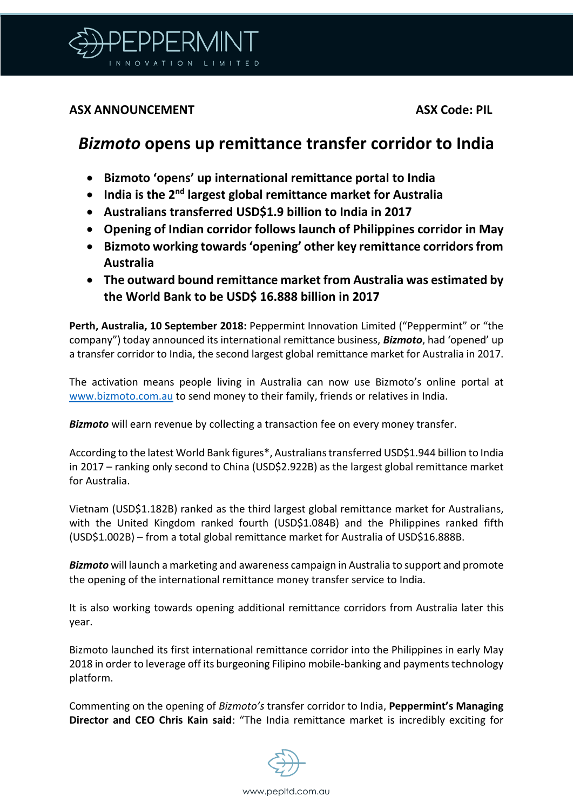

## **ASX ANNOUNCEMENT ASX Code: PIL**

## *Bizmoto* **opens up remittance transfer corridor to India**

- **Bizmoto 'opens' up international remittance portal to India**
- **India is the 2nd largest global remittance market for Australia**
- **Australians transferred USD\$1.9 billion to India in 2017**
- **Opening of Indian corridor follows launch of Philippines corridor in May**
- **Bizmoto working towards 'opening' other key remittance corridors from Australia**
- **The outward bound remittance market from Australia was estimated by the World Bank to be USD\$ 16.888 billion in 2017**

**Perth, Australia, 10 September 2018:** Peppermint Innovation Limited ("Peppermint" or "the company") today announced its international remittance business, *Bizmoto*, had 'opened' up a transfer corridor to India, the second largest global remittance market for Australia in 2017.

The activation means people living in Australia can now use Bizmoto's online portal at [www.bizmoto.com.au](http://www.bizmoto.com.au/) to send money to their family, friends or relatives in India.

*Bizmoto* will earn revenue by collecting a transaction fee on every money transfer.

According to the latest World Bank figures\*, Australians transferred USD\$1.944 billion to India in 2017 – ranking only second to China (USD\$2.922B) as the largest global remittance market for Australia.

Vietnam (USD\$1.182B) ranked as the third largest global remittance market for Australians, with the United Kingdom ranked fourth (USD\$1.084B) and the Philippines ranked fifth (USD\$1.002B) – from a total global remittance market for Australia of USD\$16.888B.

*Bizmoto* will launch a marketing and awareness campaign in Australia to support and promote the opening of the international remittance money transfer service to India.

It is also working towards opening additional remittance corridors from Australia later this year.

Bizmoto launched its first international remittance corridor into the Philippines in early May 2018 in order to leverage off its burgeoning Filipino mobile-banking and payments technology platform.

Commenting on the opening of *Bizmoto's* transfer corridor to India, **Peppermint's Managing Director and CEO Chris Kain said**: "The India remittance market is incredibly exciting for